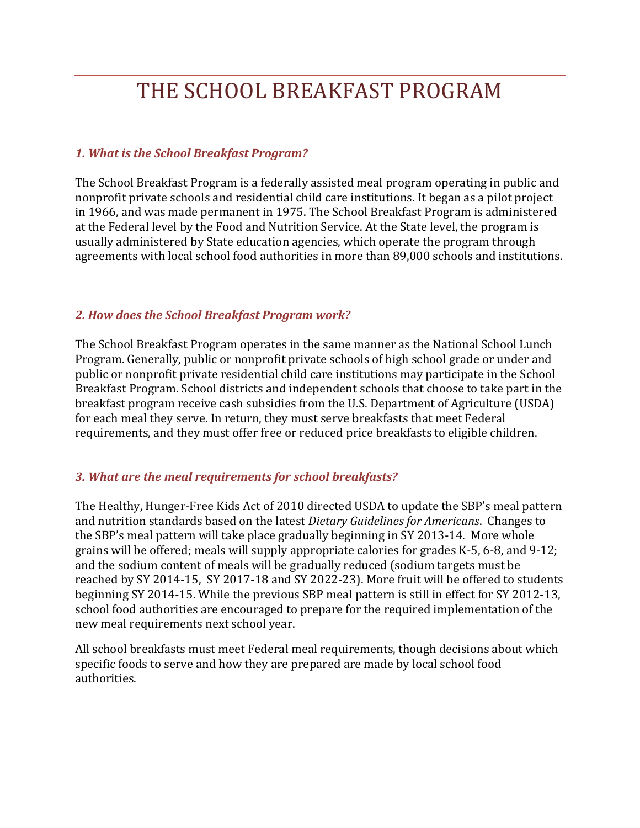# THE SCHOOL BREAKFAST PROGRAM

## *1. What is the School Breakfast Program?*

The School Breakfast Program is a federally assisted meal program operating in public and nonprofit private schools and residential child care institutions. It began as a pilot project in 1966, and was made permanent in 1975. The School Breakfast Program is administered at the Federal level by the Food and Nutrition Service. At the State level, the program is usually administered by State education agencies, which operate the program through agreements with local school food authorities in more than 89,000 schools and institutions.

## *2. How does the School Breakfast Program work?*

The School Breakfast Program operates in the same manner as the National School Lunch Program. Generally, public or nonprofit private schools of high school grade or under and public or nonprofit private residential child care institutions may participate in the School Breakfast Program. School districts and independent schools that choose to take part in the breakfast program receive cash subsidies from the U.S. Department of Agriculture (USDA) for each meal they serve. In return, they must serve breakfasts that meet Federal requirements, and they must offer free or reduced price breakfasts to eligible children.

# *3. What are the meal requirements for school breakfasts?*

The Healthy, Hunger-Free Kids Act of 2010 directed USDA to update the SBP's meal pattern and nutrition standards based on the latest *Dietary Guidelines for Americans*. Changes to the SBP's meal pattern will take place gradually beginning in SY 2013-14. More whole grains will be offered; meals will supply appropriate calories for grades K-5, 6-8, and 9-12; and the sodium content of meals will be gradually reduced (sodium targets must be reached by SY 2014-15, SY 2017-18 and SY 2022-23). More fruit will be offered to students beginning SY 2014-15. While the previous SBP meal pattern is still in effect for SY 2012-13, school food authorities are encouraged to prepare for the required implementation of the new meal requirements next school year.

All school breakfasts must meet Federal meal requirements, though decisions about which specific foods to serve and how they are prepared are made by local school food authorities.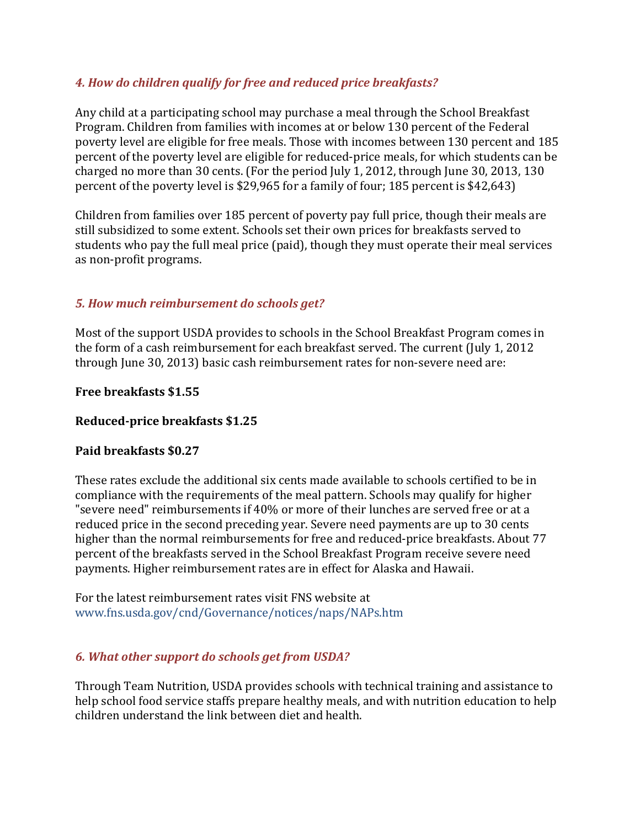# *4. How do children qualify for free and reduced price breakfasts?*

Any child at a participating school may purchase a meal through the School Breakfast Program. Children from families with incomes at or below 130 percent of the Federal poverty level are eligible for free meals. Those with incomes between 130 percent and 185 percent of the poverty level are eligible for reduced-price meals, for which students can be charged no more than 30 cents. (For the period July 1, 2012, through June 30, 2013, 130 percent of the poverty level is \$29,965 for a family of four; 185 percent is \$42,643)

Children from families over 185 percent of poverty pay full price, though their meals are still subsidized to some extent. Schools set their own prices for breakfasts served to students who pay the full meal price (paid), though they must operate their meal services as non-profit programs.

### *5. How much reimbursement do schools get?*

Most of the support USDA provides to schools in the School Breakfast Program comes in the form of a cash reimbursement for each breakfast served. The current (July 1, 2012 through June 30, 2013) basic cash reimbursement rates for non-severe need are:

**Free breakfasts \$1.55**

### **Reduced-price breakfasts \$1.25**

#### **Paid breakfasts \$0.27**

These rates exclude the additional six cents made available to schools certified to be in compliance with the requirements of the meal pattern. Schools may qualify for higher "severe need" reimbursements if 40% or more of their lunches are served free or at a reduced price in the second preceding year. Severe need payments are up to 30 cents higher than the normal reimbursements for free and reduced-price breakfasts. About 77 percent of the breakfasts served in the School Breakfast Program receive severe need payments. Higher reimbursement rates are in effect for Alaska and Hawaii.

For the latest reimbursement rates visit FNS website at www.fns.usda.gov/cnd/Governance/notices/naps/NAPs.htm

### *6. What other support do schools get from USDA?*

Through Team Nutrition, USDA provides schools with technical training and assistance to help school food service staffs prepare healthy meals, and with nutrition education to help children understand the link between diet and health.